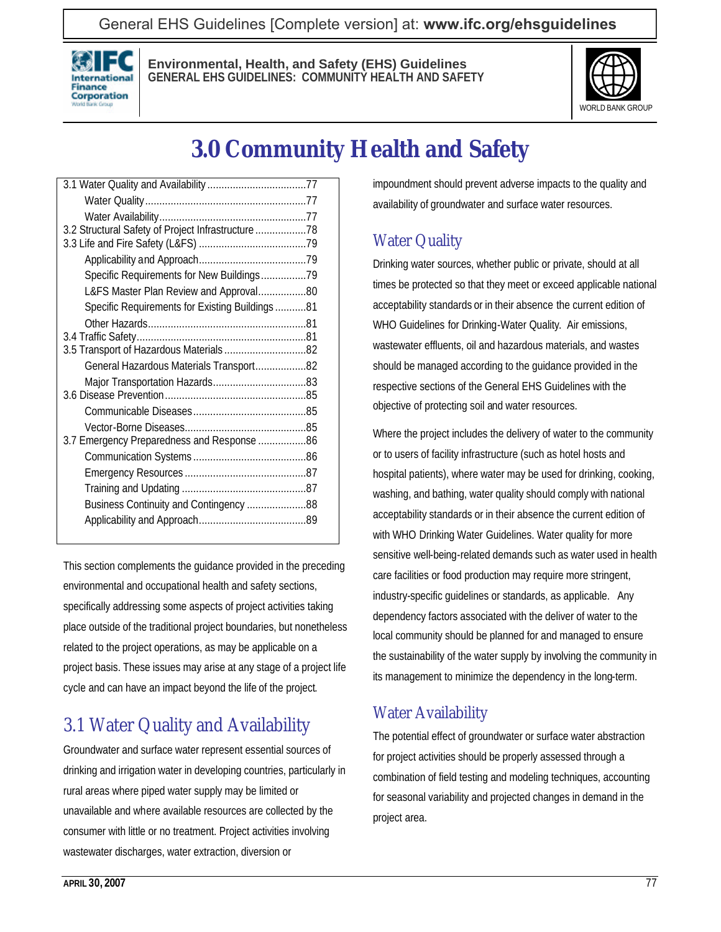General EHS Guidelines [Complete version] at: **[www.ifc.org/ehsguidelines](http://www.ifc.org/ehsguidelines)**



**Environmental, Health, and Safety (EHS) Guidelines GENERAL EHS GUIDELINES: COMMUNITY HEALTH AND SAFETY**



# **3.0 Community Health and Safety**

| 3.2 Structural Safety of Project Infrastructure 78 |  |
|----------------------------------------------------|--|
|                                                    |  |
|                                                    |  |
| Specific Requirements for New Buildings79          |  |
| L&FS Master Plan Review and Approval80             |  |
| Specific Requirements for Existing Buildings81     |  |
|                                                    |  |
|                                                    |  |
| 3.5 Transport of Hazardous Materials82             |  |
| General Hazardous Materials Transport82            |  |
|                                                    |  |
|                                                    |  |
|                                                    |  |
|                                                    |  |
| 3.7 Emergency Preparedness and Response 86         |  |
|                                                    |  |
|                                                    |  |
|                                                    |  |
| Business Continuity and Contingency 88             |  |
|                                                    |  |
|                                                    |  |

This section complements the guidance provided in the preceding environmental and occupational health and safety sections, specifically addressing some aspects of project activities taking place outside of the traditional project boundaries, but nonetheless related to the project operations, as may be applicable on a project basis. These issues may arise at any stage of a project life cycle and can have an impact beyond the life of the project.

# 3.1 Water Quality and Availability

Groundwater and surface water represent essential sources of drinking and irrigation water in developing countries, particularly in rural areas where piped water supply may be limited or unavailable and where available resources are collected by the consumer with little or no treatment. Project activities involving wastewater discharges, water extraction, diversion or

impoundment should prevent adverse impacts to the quality and availability of groundwater and surface water resources.

# Water Quality

Drinking water sources, whether public or private, should at all times be protected so that they meet or exceed applicable national acceptability standards or in their absence the current edition of WHO Guidelines for Drinking-Water Quality. Air emissions, wastewater effluents, oil and hazardous materials, and wastes should be managed according to the guidance provided in the respective sections of the General EHS Guidelines with the objective of protecting soil and water resources.

Where the project includes the delivery of water to the community or to users of facility infrastructure (such as hotel hosts and hospital patients), where water may be used for drinking, cooking, washing, and bathing, water quality should comply with national acceptability standards or in their absence the current edition of with WHO Drinking Water Guidelines. Water quality for more sensitive well-being-related demands such as water used in health care facilities or food production may require more stringent, industry-specific guidelines or standards, as applicable. Any dependency factors associated with the deliver of water to the local community should be planned for and managed to ensure the sustainability of the water supply by involving the community in its management to minimize the dependency in the long-term.

# Water Availability

The potential effect of groundwater or surface water abstraction for project activities should be properly assessed through a combination of field testing and modeling techniques, accounting for seasonal variability and projected changes in demand in the project area.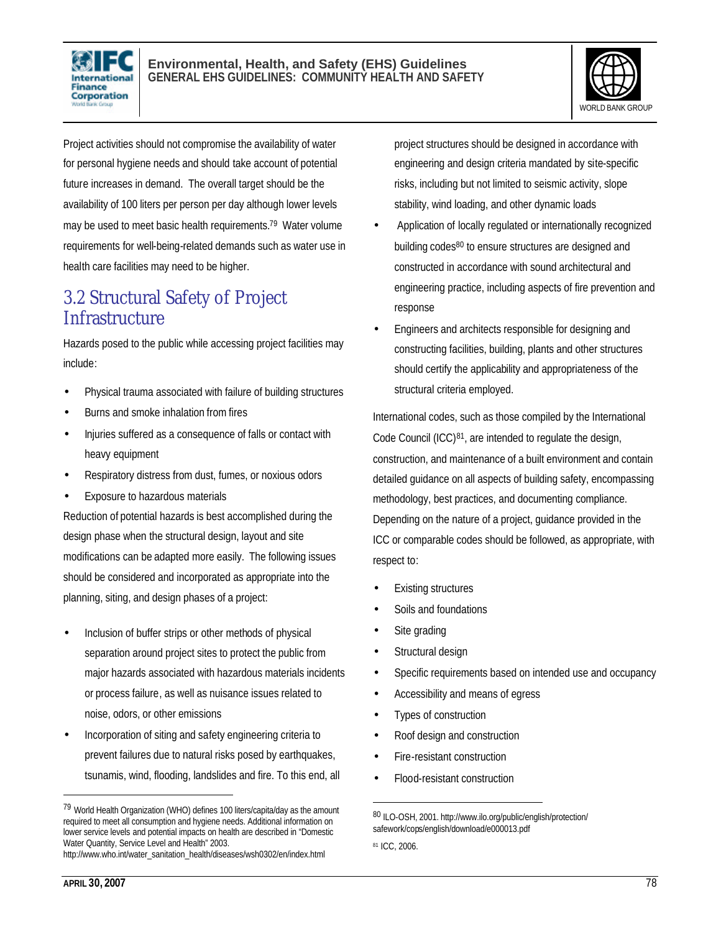



Project activities should not compromise the availability of water for personal hygiene needs and should take account of potential future increases in demand. The overall target should be the availability of 100 liters per person per day although lower levels may be used to meet basic health requirements.<sup>79</sup> Water volume requirements for well-being-related demands such as water use in health care facilities may need to be higher.

# 3.2 Structural Safety of Project **Infrastructure**

Hazards posed to the public while accessing project facilities may include:

- Physical trauma associated with failure of building structures
- Burns and smoke inhalation from fires
- Injuries suffered as a consequence of falls or contact with heavy equipment
- Respiratory distress from dust, fumes, or noxious odors
- Exposure to hazardous materials

Reduction of potential hazards is best accomplished during the design phase when the structural design, layout and site modifications can be adapted more easily. The following issues should be considered and incorporated as appropriate into the planning, siting, and design phases of a project:

- Inclusion of buffer strips or other methods of physical separation around project sites to protect the public from major hazards associated with hazardous materials incidents or process failure, as well as nuisance issues related to noise, odors, or other emissions
- Incorporation of siting and safety engineering criteria to prevent failures due to natural risks posed by earthquakes, tsunamis, wind, flooding, landslides and fire. To this end, all

http://www.who.int/water\_sanitation\_health/diseases/wsh0302/en/index.html

project structures should be designed in accordance with engineering and design criteria mandated by site-specific risks, including but not limited to seismic activity, slope stability, wind loading, and other dynamic loads

- Application of locally regulated or internationally recognized building codes<sup>80</sup> to ensure structures are designed and constructed in accordance with sound architectural and engineering practice, including aspects of fire prevention and response
- Engineers and architects responsible for designing and constructing facilities, building, plants and other structures should certify the applicability and appropriateness of the structural criteria employed.

International codes, such as those compiled by the International Code Council (ICC)81, are intended to regulate the design, construction, and maintenance of a built environment and contain detailed guidance on all aspects of building safety, encompassing methodology, best practices, and documenting compliance. Depending on the nature of a project, guidance provided in the ICC or comparable codes should be followed, as appropriate, with respect to:

- **Existing structures**
- Soils and foundations
- Site grading
- Structural design
- Specific requirements based on intended use and occupancy
- Accessibility and means of egress
- Types of construction
- Roof design and construction
- Fire-resistant construction
- Flood-resistant construction

 $\overline{a}$ 

l

<sup>79</sup> World Health Organization (WHO) defines 100 liters/capita/day as the amount required to meet all consumption and hygiene needs. Additional information on lower service levels and potential impacts on health are described in "Domestic Water Quantity, Service Level and Health" 2003.

<sup>80</sup> ILO-OSH, 2001. http://www.ilo.org/public/english/protection/ safework/cops/english/download/e000013.pdf

<sup>81</sup> ICC, 2006.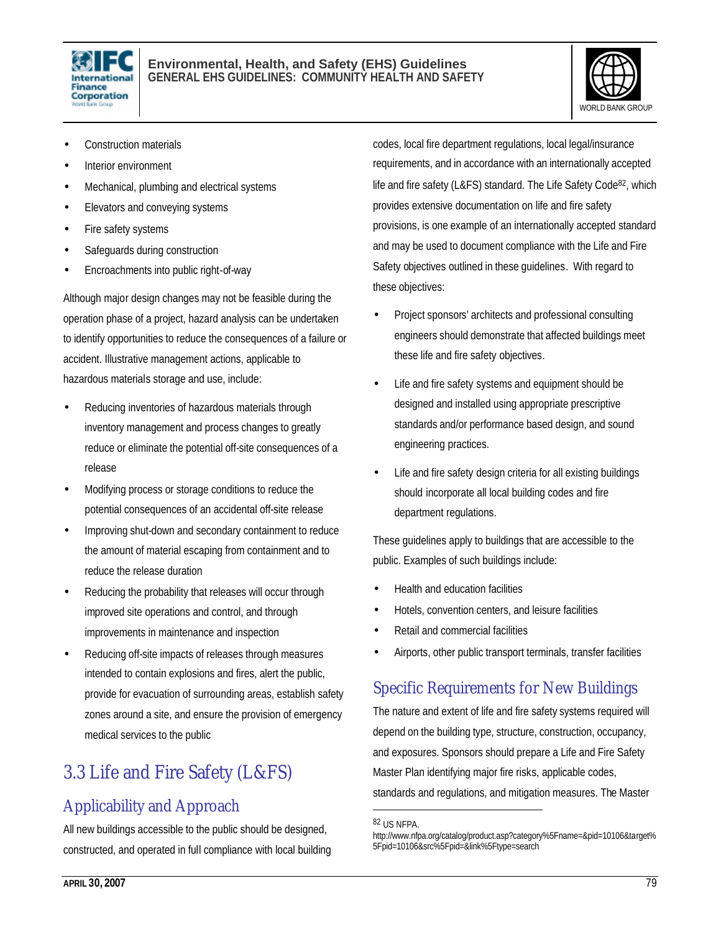



- Construction materials
- Interior environment
- Mechanical, plumbing and electrical systems
- Elevators and conveying systems
- Fire safety systems
- Safeguards during construction
- Encroachments into public right-of-way

Although major design changes may not be feasible during the operation phase of a project, hazard analysis can be undertaken to identify opportunities to reduce the consequences of a failure or accident. Illustrative management actions, applicable to hazardous materials storage and use, include:

- Reducing inventories of hazardous materials through inventory management and process changes to greatly reduce or eliminate the potential off-site consequences of a release
- Modifying process or storage conditions to reduce the potential consequences of an accidental off-site release
- Improving shut-down and secondary containment to reduce the amount of material escaping from containment and to reduce the release duration
- Reducing the probability that releases will occur through improved site operations and control, and through improvements in maintenance and inspection
- Reducing off-site impacts of releases through measures intended to contain explosions and fires, alert the public, provide for evacuation of surrounding areas, establish safety zones around a site, and ensure the provision of emergency medical services to the public

# 3.3 Life and Fire Safety (L&FS)

# Applicability and Approach

All new buildings accessible to the public should be designed, constructed, and operated in full compliance with local building codes, local fire department regulations, local legal/insurance requirements, and in accordance with an internationally accepted life and fire safety (L&FS) standard. The Life Safety Code<sup>82</sup>, which provides extensive documentation on life and fire safety provisions, is one example of an internationally accepted standard and may be used to document compliance with the Life and Fire Safety objectives outlined in these guidelines. With regard to these objectives:

- Project sponsors' architects and professional consulting engineers should demonstrate that affected buildings meet these life and fire safety objectives.
- Life and fire safety systems and equipment should be designed and installed using appropriate prescriptive standards and/or performance based design, and sound engineering practices.
- Life and fire safety design criteria for all existing buildings should incorporate all local building codes and fire department regulations.

These guidelines apply to buildings that are accessible to the public. Examples of such buildings include:

- Health and education facilities
- Hotels, convention centers, and leisure facilities
- Retail and commercial facilities
- Airports, other public transport terminals, transfer facilities

### Specific Requirements for New Buildings

The nature and extent of life and fire safety systems required will depend on the building type, structure, construction, occupancy, and exposures. Sponsors should prepare a Life and Fire Safety Master Plan identifying major fire risks, applicable codes, standards and regulations, and mitigation measures. The Master

<sup>82</sup> US NFPA.

http://www.nfpa.org/catalog/product.asp?category%5Fname=&pid=10106&target% 5Fpid=10106&src%5Fpid=&link%5Ftype=search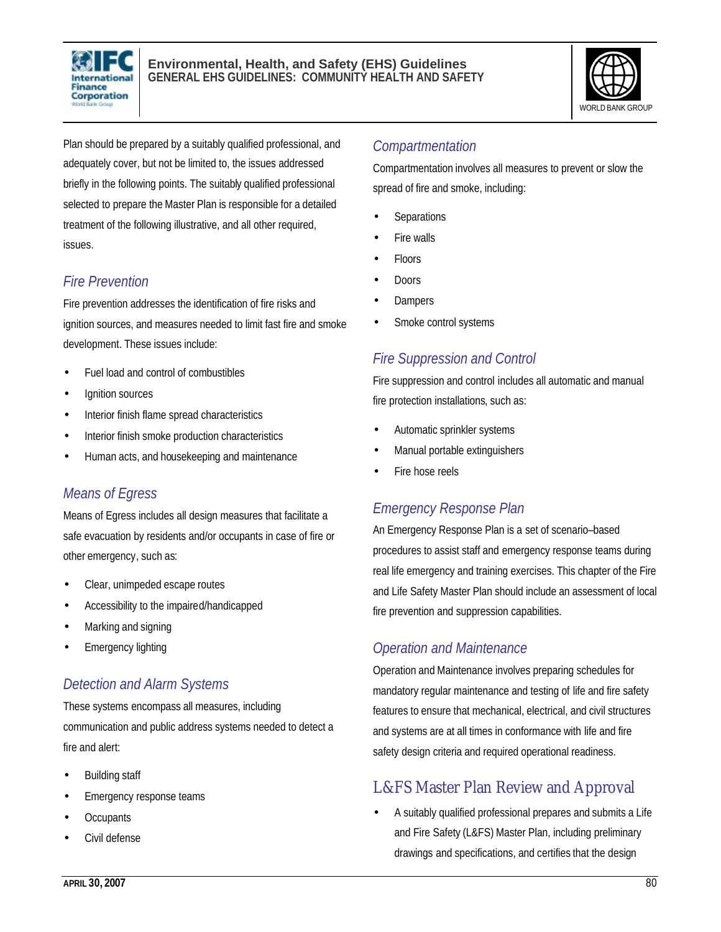



Plan should be prepared by a suitably qualified professional, and adequately cover, but not be limited to, the issues addressed briefly in the following points. The suitably qualified professional selected to prepare the Master Plan is responsible for a detailed treatment of the following illustrative, and all other required, issues.

# *Fire Prevention*

Fire prevention addresses the identification of fire risks and ignition sources, and measures needed to limit fast fire and smoke development. These issues include:

- Fuel load and control of combustibles
- lgnition sources
- Interior finish flame spread characteristics
- Interior finish smoke production characteristics
- Human acts, and housekeeping and maintenance

### *Means of Egress*

Means of Egress includes all design measures that facilitate a safe evacuation by residents and/or occupants in case of fire or other emergency, such as:

- Clear, unimpeded escape routes
- Accessibility to the impaired/handicapped
- Marking and signing
- **Emergency lighting**

### *Detection and Alarm Systems*

These systems encompass all measures, including communication and public address systems needed to detect a fire and alert:

- Building staff
- Emergency response teams
- **Occupants**
- Civil defense

#### *Compartmentation*

Compartmentation involves all measures to prevent or slow the spread of fire and smoke, including:

- **Separations**
- Fire walls
- Floors
- Doors
- **Dampers**
- Smoke control systems

#### *Fire Suppression and Control*

Fire suppression and control includes all automatic and manual fire protection installations, such as:

- Automatic sprinkler systems
- Manual portable extinguishers
- Fire hose reels

### *Emergency Response Plan*

An Emergency Response Plan is a set of scenario–based procedures to assist staff and emergency response teams during real life emergency and training exercises. This chapter of the Fire and Life Safety Master Plan should include an assessment of local fire prevention and suppression capabilities.

### *Operation and Maintenance*

Operation and Maintenance involves preparing schedules for mandatory regular maintenance and testing of life and fire safety features to ensure that mechanical, electrical, and civil structures and systems are at all times in conformance with life and fire safety design criteria and required operational readiness.

# L&FS Master Plan Review and Approval

• A suitably qualified professional prepares and submits a Life and Fire Safety (L&FS) Master Plan, including preliminary drawings and specifications, and certifies that the design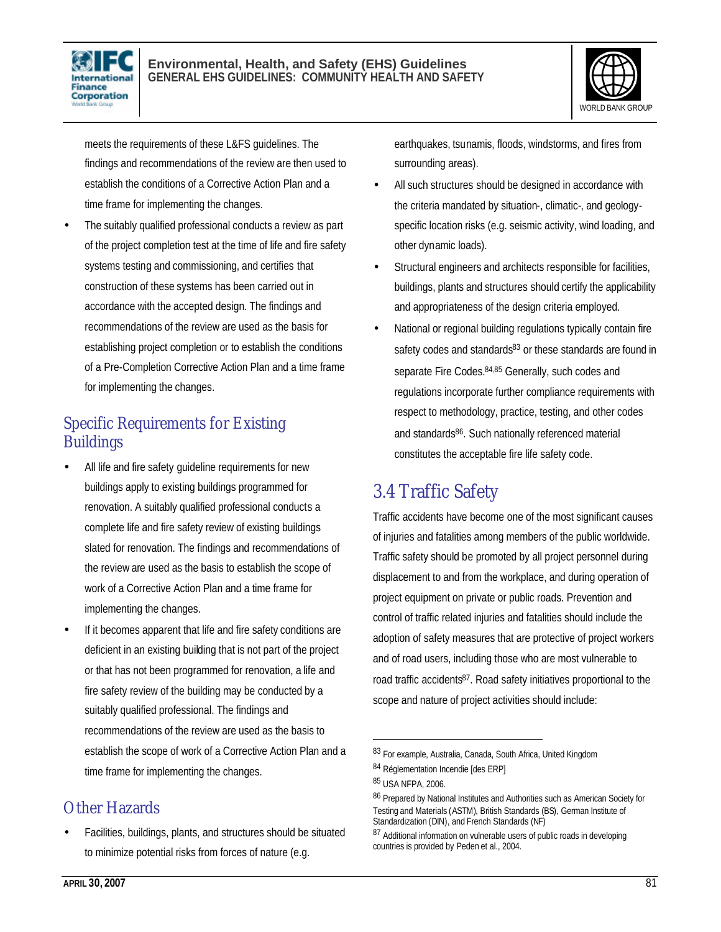



meets the requirements of these L&FS guidelines. The findings and recommendations of the review are then used to establish the conditions of a Corrective Action Plan and a time frame for implementing the changes.

The suitably qualified professional conducts a review as part of the project completion test at the time of life and fire safety systems testing and commissioning, and certifies that construction of these systems has been carried out in accordance with the accepted design. The findings and recommendations of the review are used as the basis for establishing project completion or to establish the conditions of a Pre-Completion Corrective Action Plan and a time frame for implementing the changes.

# Specific Requirements for Existing **Buildings**

- All life and fire safety quideline requirements for new buildings apply to existing buildings programmed for renovation. A suitably qualified professional conducts a complete life and fire safety review of existing buildings slated for renovation. The findings and recommendations of the review are used as the basis to establish the scope of work of a Corrective Action Plan and a time frame for implementing the changes.
- If it becomes apparent that life and fire safety conditions are deficient in an existing building that is not part of the project or that has not been programmed for renovation, a life and fire safety review of the building may be conducted by a suitably qualified professional. The findings and recommendations of the review are used as the basis to establish the scope of work of a Corrective Action Plan and a time frame for implementing the changes.

# Other Hazards

• Facilities, buildings, plants, and structures should be situated to minimize potential risks from forces of nature (e.g.

earthquakes, tsunamis, floods, windstorms, and fires from surrounding areas).

- All such structures should be designed in accordance with the criteria mandated by situation-, climatic-, and geologyspecific location risks (e.g. seismic activity, wind loading, and other dynamic loads).
- Structural engineers and architects responsible for facilities, buildings, plants and structures should certify the applicability and appropriateness of the design criteria employed.
- National or regional building regulations typically contain fire safety codes and standards83 or these standards are found in separate Fire Codes.<sup>84,85</sup> Generally, such codes and regulations incorporate further compliance requirements with respect to methodology, practice, testing, and other codes and standards<sup>86</sup>. Such nationally referenced material constitutes the acceptable fire life safety code.

# 3.4 Traffic Safety

Traffic accidents have become one of the most significant causes of injuries and fatalities among members of the public worldwide. Traffic safety should be promoted by all project personnel during displacement to and from the workplace, and during operation of project equipment on private or public roads. Prevention and control of traffic related injuries and fatalities should include the adoption of safety measures that are protective of project workers and of road users, including those who are most vulnerable to road traffic accidents87. Road safety initiatives proportional to the scope and nature of project activities should include:

<sup>83</sup> For example, Australia, Canada, South Africa, United Kingdom

<sup>84</sup> Réglementation Incendie [des ERP]

<sup>85</sup> USA NFPA, 2006.

<sup>86</sup> Prepared by National Institutes and Authorities such as American Society for Testing and Materials (ASTM), British Standards (BS), German Institute of Standardization (DIN), and French Standards (NF)

<sup>87</sup> Additional information on vulnerable users of public roads in developing countries is provided by Peden et al., 2004.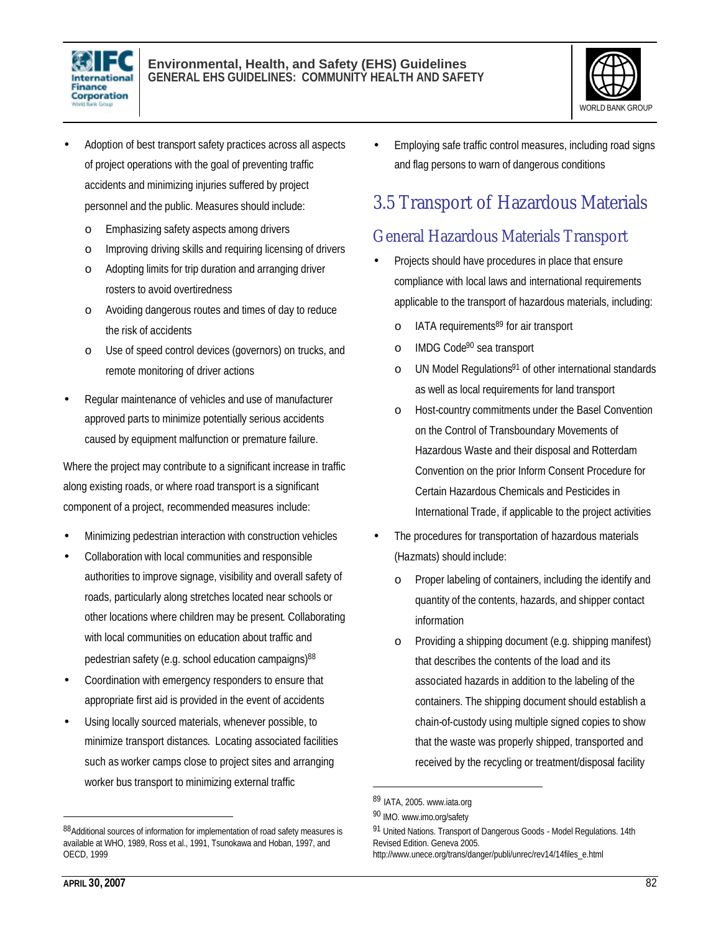



- Adoption of best transport safety practices across all aspects of project operations with the goal of preventing traffic accidents and minimizing injuries suffered by project personnel and the public. Measures should include:
	- o Emphasizing safety aspects among drivers
	- o Improving driving skills and requiring licensing of drivers
	- o Adopting limits for trip duration and arranging driver rosters to avoid overtiredness
	- o Avoiding dangerous routes and times of day to reduce the risk of accidents
	- o Use of speed control devices (governors) on trucks, and remote monitoring of driver actions
- Regular maintenance of vehicles and use of manufacturer approved parts to minimize potentially serious accidents caused by equipment malfunction or premature failure.

Where the project may contribute to a significant increase in traffic along existing roads, or where road transport is a significant component of a project, recommended measures include:

- Minimizing pedestrian interaction with construction vehicles
- Collaboration with local communities and responsible authorities to improve signage, visibility and overall safety of roads, particularly along stretches located near schools or other locations where children may be present. Collaborating with local communities on education about traffic and pedestrian safety (e.g. school education campaigns)<sup>88</sup>
- Coordination with emergency responders to ensure that appropriate first aid is provided in the event of accidents
- Using locally sourced materials, whenever possible, to minimize transport distances. Locating associated facilities such as worker camps close to project sites and arranging worker bus transport to minimizing external traffic

• Employing safe traffic control measures, including road signs and flag persons to warn of dangerous conditions

# 3.5 Transport of Hazardous Materials

# General Hazardous Materials Transport

- Projects should have procedures in place that ensure compliance with local laws and international requirements applicable to the transport of hazardous materials, including:
	- o IATA requirements89 for air transport
	- o IMDG Code90 sea transport
	- o UN Model Regulations<sup>91</sup> of other international standards as well as local requirements for land transport
	- o Host-country commitments under the Basel Convention on the Control of Transboundary Movements of Hazardous Waste and their disposal and Rotterdam Convention on the prior Inform Consent Procedure for Certain Hazardous Chemicals and Pesticides in International Trade, if applicable to the project activities
- The procedures for transportation of hazardous materials (Hazmats) should include:
	- Proper labeling of containers, including the identify and quantity of the contents, hazards, and shipper contact information
	- o Providing a shipping document (e.g. shipping manifest) that describes the contents of the load and its associated hazards in addition to the labeling of the containers. The shipping document should establish a chain-of-custody using multiple signed copies to show that the waste was properly shipped, transported and received by the recycling or treatment/disposal facility

l

<sup>88</sup>Additional sources of information for implementation of road safety measures is available at WHO, 1989, Ross et al., 1991, Tsunokawa and Hoban, 1997, and OECD, 1999

<sup>89</sup> IATA, 2005. www.iata.org

<sup>90</sup> IMO. www.imo.org/safety

<sup>91</sup> United Nations. Transport of Dangerous Goods - Model Regulations. 14th Revised Edition. Geneva 2005. http://www.unece.org/trans/danger/publi/unrec/rev14/14files\_e.html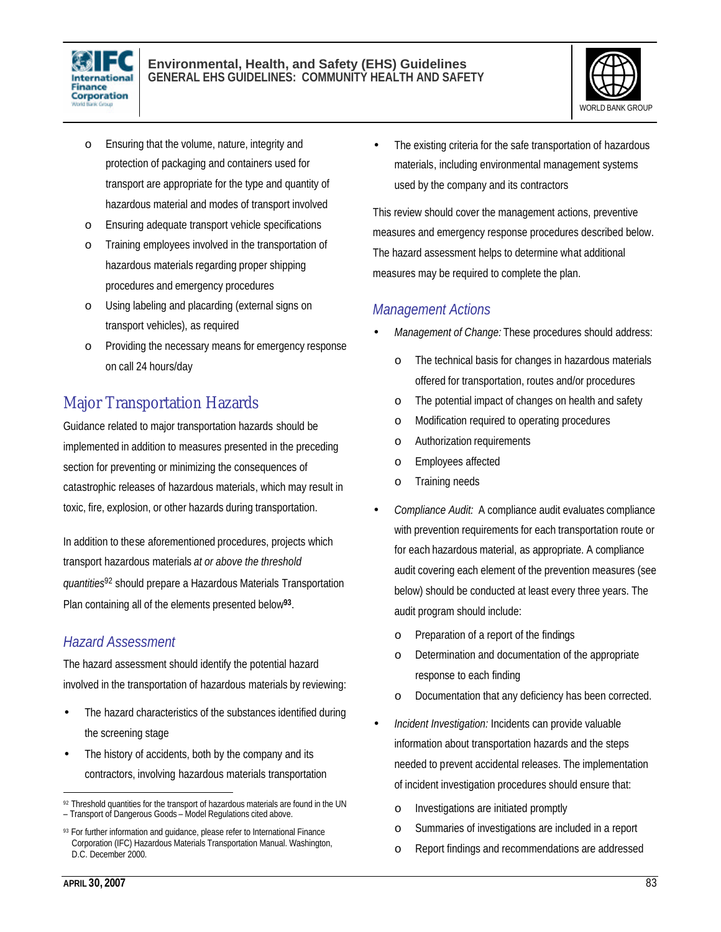



- o Ensuring that the volume, nature, integrity and protection of packaging and containers used for transport are appropriate for the type and quantity of hazardous material and modes of transport involved
- o Ensuring adequate transport vehicle specifications
- o Training employees involved in the transportation of hazardous materials regarding proper shipping procedures and emergency procedures
- o Using labeling and placarding (external signs on transport vehicles), as required
- o Providing the necessary means for emergency response on call 24 hours/day

# Major Transportation Hazards

Guidance related to major transportation hazards should be implemented in addition to measures presented in the preceding section for preventing or minimizing the consequences of catastrophic releases of hazardous materials, which may result in toxic, fire, explosion, or other hazards during transportation.

In addition to these aforementioned procedures, projects which transport hazardous materials *at or above the threshold quantities*<sup>92</sup> should prepare a Hazardous Materials Transportation Plan containing all of the elements presented below**<sup>93</sup>** .

#### *Hazard Assessment*

The hazard assessment should identify the potential hazard involved in the transportation of hazardous materials by reviewing:

- The hazard characteristics of the substances identified during the screening stage
- The history of accidents, both by the company and its contractors, involving hazardous materials transportation

The existing criteria for the safe transportation of hazardous materials, including environmental management systems used by the company and its contractors

This review should cover the management actions, preventive measures and emergency response procedures described below. The hazard assessment helps to determine what additional measures may be required to complete the plan.

#### *Management Actions*

- *Management of Change:* These procedures should address:
	- o The technical basis for changes in hazardous materials offered for transportation, routes and/or procedures
	- o The potential impact of changes on health and safety
	- o Modification required to operating procedures
	- o Authorization requirements
	- o Employees affected
	- o Training needs
- *Compliance Audit:* A compliance audit evaluates compliance with prevention requirements for each transportation route or for each hazardous material, as appropriate. A compliance audit covering each element of the prevention measures (see below) should be conducted at least every three years. The audit program should include:
	- o Preparation of a report of the findings
	- o Determination and documentation of the appropriate response to each finding
	- o Documentation that any deficiency has been corrected.
- *Incident Investigation:* Incidents can provide valuable information about transportation hazards and the steps needed to prevent accidental releases. The implementation of incident investigation procedures should ensure that:
	- o Investigations are initiated promptly
	- o Summaries of investigations are included in a report
	- o Report findings and recommendations are addressed

 $\overline{a}$ 92 Threshold quantities for the transport of hazardous materials are found in the UN – Transport of Dangerous Goods – Model Regulations cited above.

<sup>93</sup> For further information and guidance, please refer to International Finance Corporation (IFC) Hazardous Materials Transportation Manual. Washington, D.C. December 2000.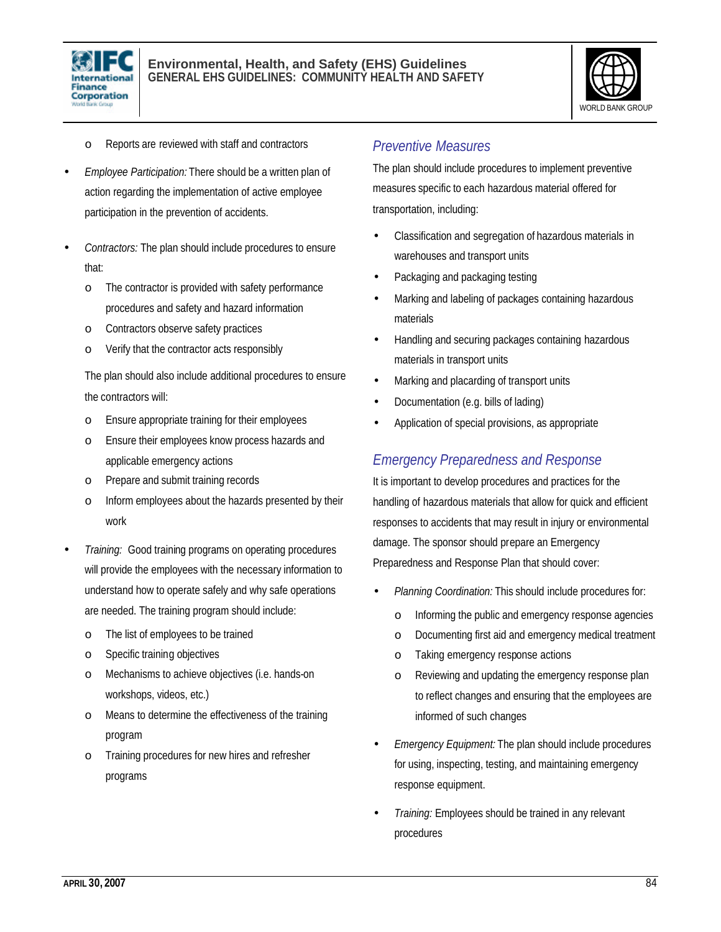



- o Reports are reviewed with staff and contractors
- *Employee Participation:* There should be a written plan of action regarding the implementation of active employee participation in the prevention of accidents.
- *Contractors:* The plan should include procedures to ensure that:
	- o The contractor is provided with safety performance procedures and safety and hazard information
	- o Contractors observe safety practices
	- o Verify that the contractor acts responsibly

The plan should also include additional procedures to ensure the contractors will:

- o Ensure appropriate training for their employees
- o Ensure their employees know process hazards and applicable emergency actions
- o Prepare and submit training records
- o Inform employees about the hazards presented by their work
- *Training:* Good training programs on operating procedures will provide the employees with the necessary information to understand how to operate safely and why safe operations are needed. The training program should include:
	- o The list of employees to be trained
	- o Specific training objectives
	- o Mechanisms to achieve objectives (i.e. hands-on workshops, videos, etc.)
	- o Means to determine the effectiveness of the training program
	- o Training procedures for new hires and refresher programs

#### *Preventive Measures*

The plan should include procedures to implement preventive measures specific to each hazardous material offered for transportation, including:

- Classification and segregation of hazardous materials in warehouses and transport units
- Packaging and packaging testing
- Marking and labeling of packages containing hazardous materials
- Handling and securing packages containing hazardous materials in transport units
- Marking and placarding of transport units
- Documentation (e.g. bills of lading)
- Application of special provisions, as appropriate

#### *Emergency Preparedness and Response*

It is important to develop procedures and practices for the handling of hazardous materials that allow for quick and efficient responses to accidents that may result in injury or environmental damage. The sponsor should prepare an Emergency Preparedness and Response Plan that should cover:

- *Planning Coordination:* This should include procedures for:
	- o Informing the public and emergency response agencies
	- o Documenting first aid and emergency medical treatment
	- o Taking emergency response actions
	- o Reviewing and updating the emergency response plan to reflect changes and ensuring that the employees are informed of such changes
- *Emergency Equipment:* The plan should include procedures for using, inspecting, testing, and maintaining emergency response equipment.
- *Training:* Employees should be trained in any relevant procedures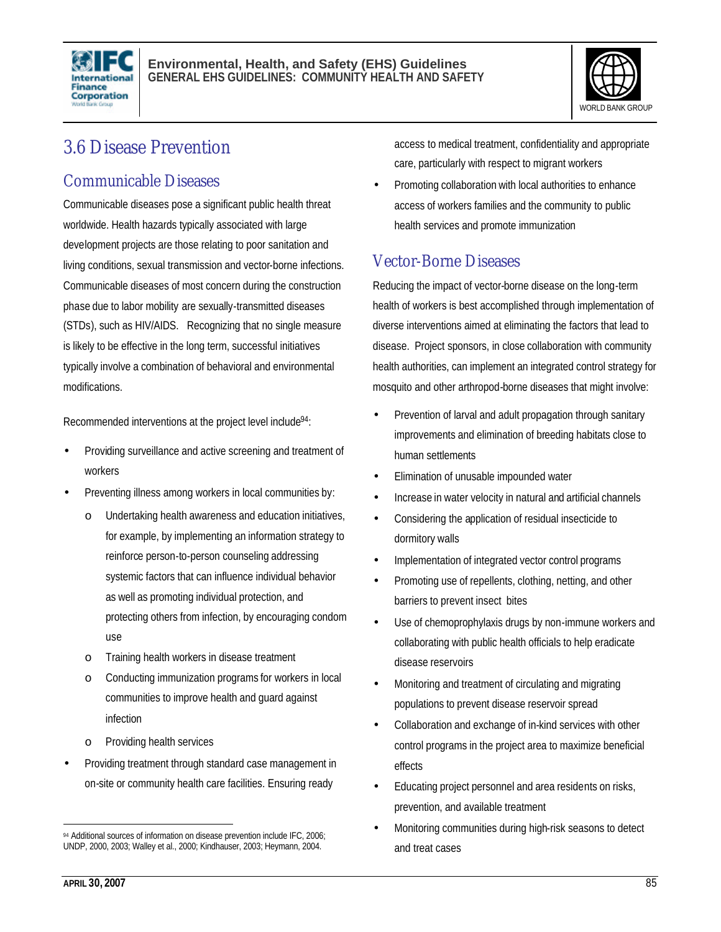



# 3.6 Disease Prevention

### Communicable Diseases

Communicable diseases pose a significant public health threat worldwide. Health hazards typically associated with large development projects are those relating to poor sanitation and living conditions, sexual transmission and vector-borne infections. Communicable diseases of most concern during the construction phase due to labor mobility are sexually-transmitted diseases (STDs), such as HIV/AIDS. Recognizing that no single measure is likely to be effective in the long term, successful initiatives typically involve a combination of behavioral and environmental modifications.

Recommended interventions at the project level include<sup>94</sup>:

- Providing surveillance and active screening and treatment of workers
- Preventing illness among workers in local communities by:
	- o Undertaking health awareness and education initiatives, for example, by implementing an information strategy to reinforce person-to-person counseling addressing systemic factors that can influence individual behavior as well as promoting individual protection, and protecting others from infection, by encouraging condom use
	- o Training health workers in disease treatment
	- o Conducting immunization programs for workers in local communities to improve health and guard against infection
	- o Providing health services
- Providing treatment through standard case management in on-site or community health care facilities. Ensuring ready

access to medical treatment, confidentiality and appropriate care, particularly with respect to migrant workers

• Promoting collaboration with local authorities to enhance access of workers families and the community to public health services and promote immunization

#### Vector-Borne Diseases

Reducing the impact of vector-borne disease on the long-term health of workers is best accomplished through implementation of diverse interventions aimed at eliminating the factors that lead to disease. Project sponsors, in close collaboration with community health authorities, can implement an integrated control strategy for mosquito and other arthropod-borne diseases that might involve:

- Prevention of larval and adult propagation through sanitary improvements and elimination of breeding habitats close to human settlements
- Elimination of unusable impounded water
- Increase in water velocity in natural and artificial channels
- Considering the application of residual insecticide to dormitory walls
- Implementation of integrated vector control programs
- Promoting use of repellents, clothing, netting, and other barriers to prevent insect bites
- Use of chemoprophylaxis drugs by non-immune workers and collaborating with public health officials to help eradicate disease reservoirs
- Monitoring and treatment of circulating and migrating populations to prevent disease reservoir spread
- Collaboration and exchange of in-kind services with other control programs in the project area to maximize beneficial effects
- Educating project personnel and area residents on risks, prevention, and available treatment
- Monitoring communities during high-risk seasons to detect and treat cases

<sup>94</sup> Additional sources of information on disease prevention include IFC, 2006; UNDP, 2000, 2003; Walley et al., 2000; Kindhauser, 2003; Heymann, 2004.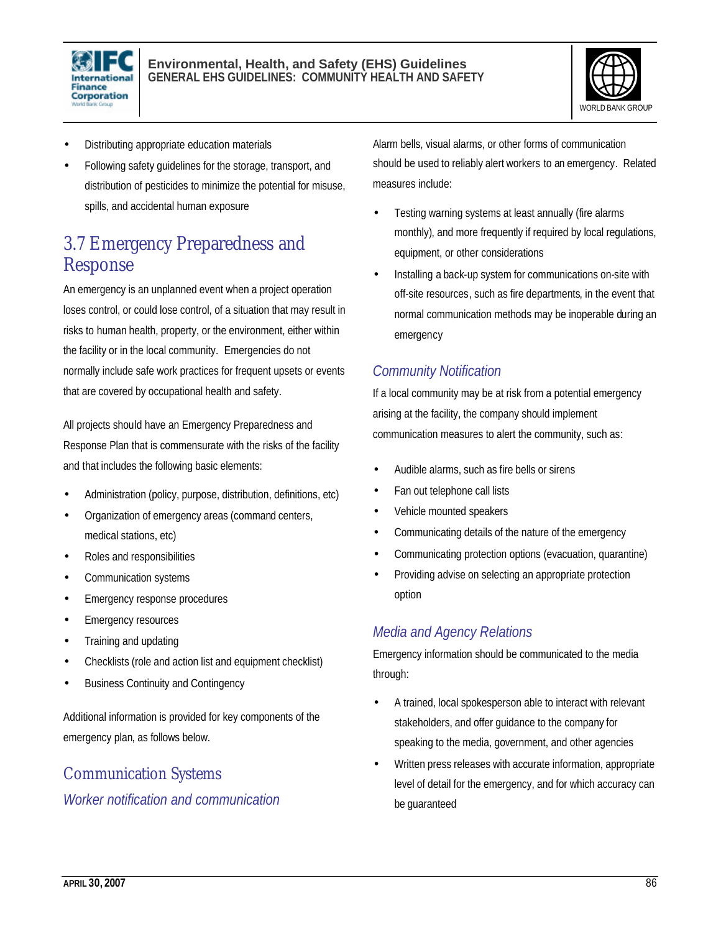



- Distributing appropriate education materials
- Following safety guidelines for the storage, transport, and distribution of pesticides to minimize the potential for misuse, spills, and accidental human exposure

# 3.7 Emergency Preparedness and Response

An emergency is an unplanned event when a project operation loses control, or could lose control, of a situation that may result in risks to human health, property, or the environment, either within the facility or in the local community. Emergencies do not normally include safe work practices for frequent upsets or events that are covered by occupational health and safety.

All projects should have an Emergency Preparedness and Response Plan that is commensurate with the risks of the facility and that includes the following basic elements:

- Administration (policy, purpose, distribution, definitions, etc)
- Organization of emergency areas (command centers, medical stations, etc)
- Roles and responsibilities
- Communication systems
- Emergency response procedures
- **Emergency resources**
- Training and updating
- Checklists (role and action list and equipment checklist)
- Business Continuity and Contingency

Additional information is provided for key components of the emergency plan, as follows below.

### Communication Systems

*Worker notification and communication*

Alarm bells, visual alarms, or other forms of communication should be used to reliably alert workers to an emergency. Related measures include:

- Testing warning systems at least annually (fire alarms monthly), and more frequently if required by local regulations, equipment, or other considerations
- Installing a back-up system for communications on-site with off-site resources, such as fire departments, in the event that normal communication methods may be inoperable during an emergency

#### *Community Notification*

If a local community may be at risk from a potential emergency arising at the facility, the company should implement communication measures to alert the community, such as:

- Audible alarms, such as fire bells or sirens
- Fan out telephone call lists
- Vehicle mounted speakers
- Communicating details of the nature of the emergency
- Communicating protection options (evacuation, quarantine)
- Providing advise on selecting an appropriate protection option

#### *Media and Agency Relations*

Emergency information should be communicated to the media through:

- A trained, local spokesperson able to interact with relevant stakeholders, and offer guidance to the company for speaking to the media, government, and other agencies
- Written press releases with accurate information, appropriate level of detail for the emergency, and for which accuracy can be guaranteed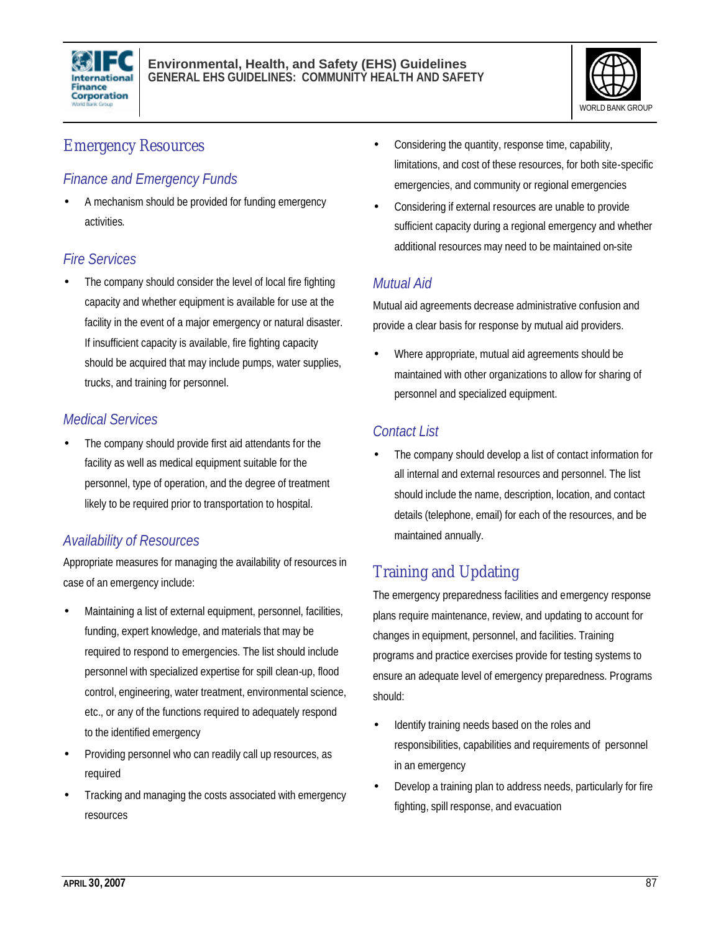



# Emergency Resources

### *Finance and Emergency Funds*

• A mechanism should be provided for funding emergency activities.

### *Fire Services*

The company should consider the level of local fire fighting capacity and whether equipment is available for use at the facility in the event of a major emergency or natural disaster. If insufficient capacity is available, fire fighting capacity should be acquired that may include pumps, water supplies, trucks, and training for personnel.

### *Medical Services*

The company should provide first aid attendants for the facility as well as medical equipment suitable for the personnel, type of operation, and the degree of treatment likely to be required prior to transportation to hospital.

### *Availability of Resources*

Appropriate measures for managing the availability of resources in case of an emergency include:

- Maintaining a list of external equipment, personnel, facilities, funding, expert knowledge, and materials that may be required to respond to emergencies. The list should include personnel with specialized expertise for spill clean-up, flood control, engineering, water treatment, environmental science, etc., or any of the functions required to adequately respond to the identified emergency
- Providing personnel who can readily call up resources, as required
- Tracking and managing the costs associated with emergency resources
- Considering the quantity, response time, capability, limitations, and cost of these resources, for both site-specific emergencies, and community or regional emergencies
- Considering if external resources are unable to provide sufficient capacity during a regional emergency and whether additional resources may need to be maintained on-site

# *Mutual Aid*

Mutual aid agreements decrease administrative confusion and provide a clear basis for response by mutual aid providers.

• Where appropriate, mutual aid agreements should be maintained with other organizations to allow for sharing of personnel and specialized equipment.

### *Contact List*

The company should develop a list of contact information for all internal and external resources and personnel. The list should include the name, description, location, and contact details (telephone, email) for each of the resources, and be maintained annually.

# Training and Updating

The emergency preparedness facilities and emergency response plans require maintenance, review, and updating to account for changes in equipment, personnel, and facilities. Training programs and practice exercises provide for testing systems to ensure an adequate level of emergency preparedness. Programs should:

- Identify training needs based on the roles and responsibilities, capabilities and requirements of personnel in an emergency
- Develop a training plan to address needs, particularly for fire fighting, spill response, and evacuation